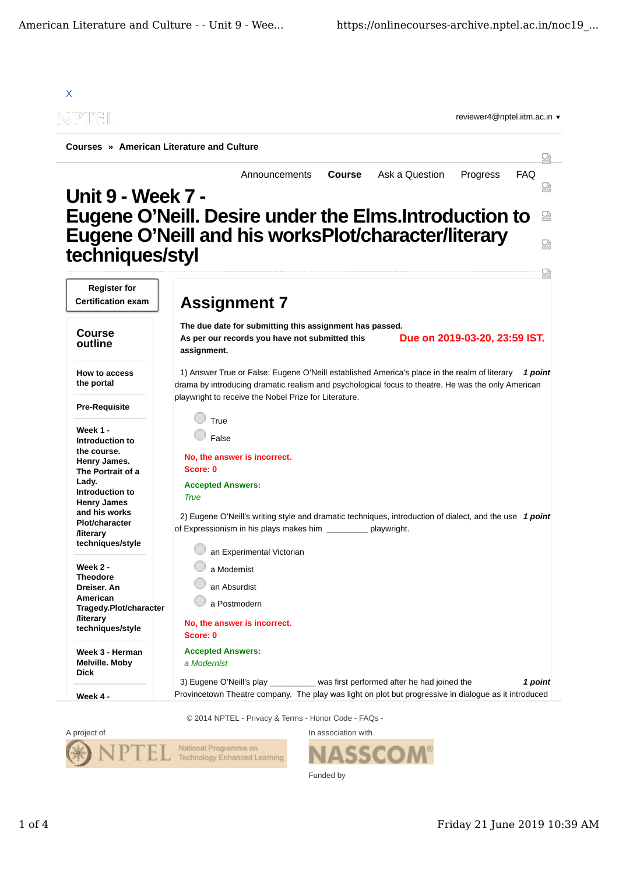



SSCO Funded by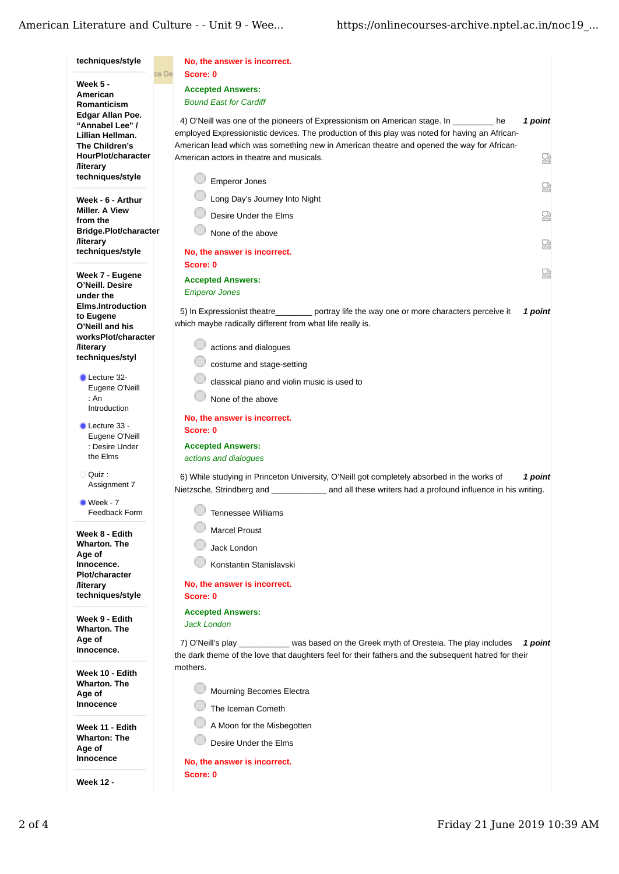## American Literature and Culture - - Unit 9 - Wee...

| techniques/style                                   | No, the answer is incorrect.                                                                                                                                |
|----------------------------------------------------|-------------------------------------------------------------------------------------------------------------------------------------------------------------|
| <b>Week 5 -</b>                                    | Score: 0<br>ce De                                                                                                                                           |
| American                                           | <b>Accepted Answers:</b>                                                                                                                                    |
| Romanticism                                        | <b>Bound East for Cardiff</b>                                                                                                                               |
| Edgar Allan Poe.<br>"Annabel Lee" /                | 1 point<br>4) O'Neill was one of the pioneers of Expressionism on American stage. In<br>he                                                                  |
| Lillian Hellman.                                   | employed Expressionistic devices. The production of this play was noted for having an African-                                                              |
| The Children's                                     | American lead which was something new in American theatre and opened the way for African-                                                                   |
| HourPlot/character                                 | American actors in theatre and musicals.<br>닯                                                                                                               |
| <b><i><u>Iliterary</u></i></b><br>techniques/style |                                                                                                                                                             |
|                                                    | <b>Emperor Jones</b><br>요                                                                                                                                   |
| Week - 6 - Arthur<br><b>Miller, A View</b>         | Long Day's Journey Into Night                                                                                                                               |
| from the                                           | 요<br>Desire Under the Elms                                                                                                                                  |
| Bridge.Plot/character                              | None of the above                                                                                                                                           |
| <b>/literary</b><br>techniques/style               | 요<br>No, the answer is incorrect.                                                                                                                           |
|                                                    | Score: 0                                                                                                                                                    |
| Week 7 - Eugene                                    | 쩒<br><b>Accepted Answers:</b>                                                                                                                               |
| O'Neill. Desire<br>under the                       | <b>Emperor Jones</b>                                                                                                                                        |
| <b>Elms.Introduction</b>                           |                                                                                                                                                             |
| to Eugene                                          | 5) In Expressionist theatre portray life the way one or more characters perceive it<br>1 point<br>which maybe radically different from what life really is. |
| O'Neill and his<br>worksPlot/character             |                                                                                                                                                             |
| <b><i><u>Iliterary</u></i></b>                     | actions and dialogues                                                                                                                                       |
| techniques/styl                                    | costume and stage-setting                                                                                                                                   |
| Lecture 32-                                        | classical piano and violin music is used to                                                                                                                 |
| Eugene O'Neill                                     |                                                                                                                                                             |
| : An<br>Introduction                               | None of the above                                                                                                                                           |
| Lecture 33 -                                       | No, the answer is incorrect.                                                                                                                                |
| Eugene O'Neill                                     | Score: 0                                                                                                                                                    |
| : Desire Under<br>the Elms                         | <b>Accepted Answers:</b>                                                                                                                                    |
|                                                    | actions and dialogues                                                                                                                                       |
| Quiz:<br>Assignment 7                              | 6) While studying in Princeton University, O'Neill got completely absorbed in the works of<br>1 point                                                       |
| $\blacksquare$ Week - 7                            | Nietzsche, Strindberg and<br>and all these writers had a profound influence in his writing.                                                                 |
| Feedback Form                                      | <b>Tennessee Williams</b>                                                                                                                                   |
|                                                    | <b>Marcel Proust</b>                                                                                                                                        |
| Week 8 - Edith<br><b>Wharton. The</b>              |                                                                                                                                                             |
| Age of                                             | Jack London                                                                                                                                                 |
| Innocence.<br><b>Plot/character</b>                | Konstantin Stanislavski                                                                                                                                     |
| <b><i><u>Iliterary</u></i></b>                     | No, the answer is incorrect.                                                                                                                                |
| techniques/style                                   | Score: 0                                                                                                                                                    |
| Week 9 - Edith                                     | <b>Accepted Answers:</b>                                                                                                                                    |
| <b>Wharton. The</b>                                | <b>Jack London</b>                                                                                                                                          |
| Age of                                             | 7) O'Neill's play <b>State State Was based on the Greek myth of Oresteia.</b> The play includes<br>1 point                                                  |
| Innocence.                                         | the dark theme of the love that daughters feel for their fathers and the subsequent hatred for their                                                        |
| Week 10 - Edith                                    | mothers.                                                                                                                                                    |
| <b>Wharton. The</b>                                | Mourning Becomes Electra                                                                                                                                    |
| Age of<br><b>Innocence</b>                         |                                                                                                                                                             |
|                                                    | The Iceman Cometh                                                                                                                                           |
| Week 11 - Edith                                    | A Moon for the Misbegotten                                                                                                                                  |
| <b>Wharton: The</b><br>Age of                      | Desire Under the Elms                                                                                                                                       |
| Innocence                                          | No, the answer is incorrect.                                                                                                                                |
|                                                    | Score: 0                                                                                                                                                    |
| <b>Week 12 -</b>                                   |                                                                                                                                                             |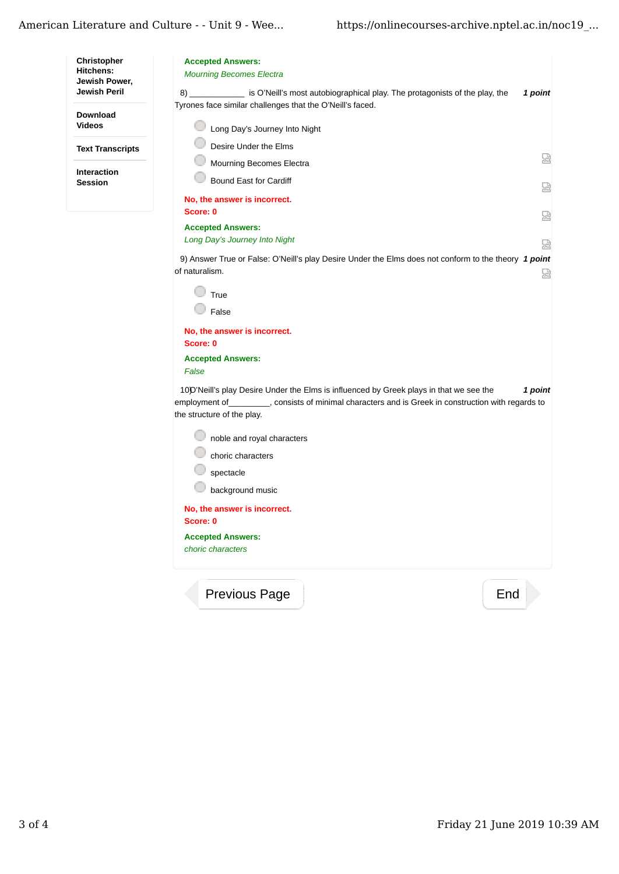| Christopher<br><b>Hitchens:</b><br>Jewish Power, | <b>Accepted Answers:</b><br><b>Mourning Becomes Electra</b>                                                                         |   |
|--------------------------------------------------|-------------------------------------------------------------------------------------------------------------------------------------|---|
| Jewish Peril                                     | 8) ______________ is O'Neill's most autobiographical play. The protagonists of the play, the<br>1 point                             |   |
|                                                  | Tyrones face similar challenges that the O'Neill's faced.                                                                           |   |
| Download<br><b>Videos</b>                        | Long Day's Journey Into Night                                                                                                       |   |
| <b>Text Transcripts</b>                          | Desire Under the Elms                                                                                                               |   |
|                                                  | Mourning Becomes Electra                                                                                                            | 얺 |
| <b>Interaction</b><br><b>Session</b>             | <b>Bound East for Cardiff</b>                                                                                                       |   |
|                                                  |                                                                                                                                     | 恳 |
|                                                  | No, the answer is incorrect.<br>Score: 0                                                                                            | 얺 |
|                                                  | <b>Accepted Answers:</b>                                                                                                            |   |
|                                                  | Long Day's Journey Into Night                                                                                                       | 닯 |
|                                                  | 9) Answer True or False: O'Neill's play Desire Under the Elms does not conform to the theory 1 point                                |   |
|                                                  | of naturalism.                                                                                                                      | 덣 |
|                                                  | True                                                                                                                                |   |
|                                                  | False                                                                                                                               |   |
|                                                  | No, the answer is incorrect.                                                                                                        |   |
|                                                  | Score: 0                                                                                                                            |   |
|                                                  | <b>Accepted Answers:</b>                                                                                                            |   |
|                                                  | False                                                                                                                               |   |
|                                                  | 10D'Neill's play Desire Under the Elms is influenced by Greek plays in that we see the<br>1 point                                   |   |
|                                                  | employment of __________, consists of minimal characters and is Greek in construction with regards to<br>the structure of the play. |   |
|                                                  |                                                                                                                                     |   |
|                                                  | noble and royal characters                                                                                                          |   |
|                                                  | choric characters                                                                                                                   |   |
|                                                  | spectacle                                                                                                                           |   |
|                                                  | background music                                                                                                                    |   |
|                                                  | No, the answer is incorrect.<br>Score: 0                                                                                            |   |
|                                                  | <b>Accepted Answers:</b>                                                                                                            |   |
|                                                  | choric characters                                                                                                                   |   |
|                                                  | Previous Page<br>End                                                                                                                |   |